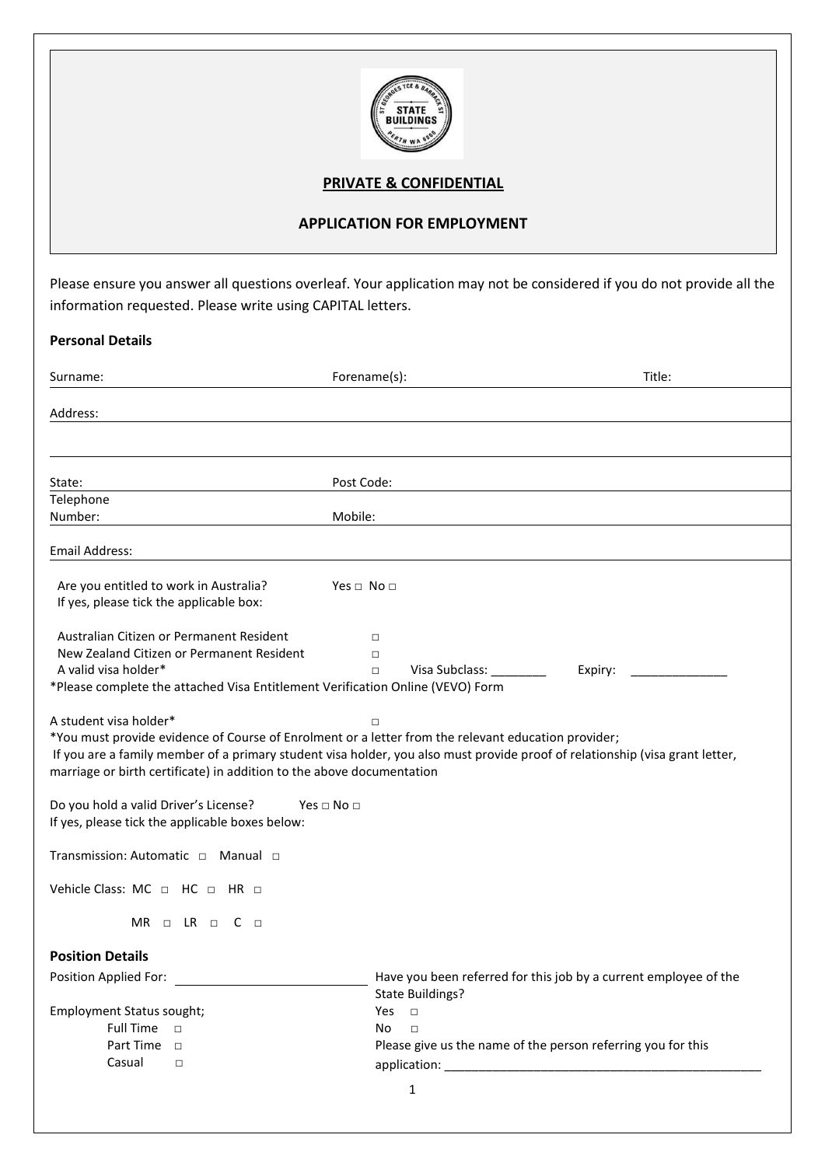

# **PRIVATE & CONFIDENTIAL**

## **APPLICATION FOR EMPLOYMENT**

Please ensure you answer all questions overleaf. Your application may not be considered if you do not provide all the information requested. Please write using CAPITAL letters.

### **Personal Details**

| Surname:                                                                                                                                                                                                                                                                                           | Forename(s):                          | Title:                                                                                                                                                      |
|----------------------------------------------------------------------------------------------------------------------------------------------------------------------------------------------------------------------------------------------------------------------------------------------------|---------------------------------------|-------------------------------------------------------------------------------------------------------------------------------------------------------------|
| Address:                                                                                                                                                                                                                                                                                           |                                       |                                                                                                                                                             |
|                                                                                                                                                                                                                                                                                                    |                                       |                                                                                                                                                             |
| State:                                                                                                                                                                                                                                                                                             | Post Code:                            |                                                                                                                                                             |
| Telephone<br>Number:                                                                                                                                                                                                                                                                               | Mobile:                               |                                                                                                                                                             |
| Email Address:                                                                                                                                                                                                                                                                                     |                                       |                                                                                                                                                             |
| Are you entitled to work in Australia?<br>If yes, please tick the applicable box:                                                                                                                                                                                                                  | Yes $\Box$ No $\Box$                  |                                                                                                                                                             |
| Australian Citizen or Permanent Resident<br>New Zealand Citizen or Permanent Resident<br>A valid visa holder*<br>*Please complete the attached Visa Entitlement Verification Online (VEVO) Form                                                                                                    | $\Box$<br>$\Box$<br>$\Box$            | Visa Subclass: ________<br>Expiry:                                                                                                                          |
| A student visa holder*<br>*You must provide evidence of Course of Enrolment or a letter from the relevant education provider;<br>marriage or birth certificate) in addition to the above documentation<br>Do you hold a valid Driver's License?<br>If yes, please tick the applicable boxes below: | $\Box$<br>Yes $\square$ No $\square$  | If you are a family member of a primary student visa holder, you also must provide proof of relationship (visa grant letter,                                |
| Transmission: Automatic □ Manual □                                                                                                                                                                                                                                                                 |                                       |                                                                                                                                                             |
| Vehicle Class: MC $\Box$ HC $\Box$ HR $\Box$                                                                                                                                                                                                                                                       |                                       |                                                                                                                                                             |
| $MR \Box$ LR $\Box$ C $\Box$                                                                                                                                                                                                                                                                       |                                       |                                                                                                                                                             |
| <b>Position Details</b>                                                                                                                                                                                                                                                                            |                                       |                                                                                                                                                             |
| Position Applied For:<br>Employment Status sought;<br><b>Full Time</b><br>$\Box$<br>Part Time<br>$\Box$                                                                                                                                                                                            | <b>Yes</b><br>$\Box$<br>No.<br>$\Box$ | Have you been referred for this job by a current employee of the<br><b>State Buildings?</b><br>Please give us the name of the person referring you for this |
| Casual<br>$\Box$                                                                                                                                                                                                                                                                                   | application:                          |                                                                                                                                                             |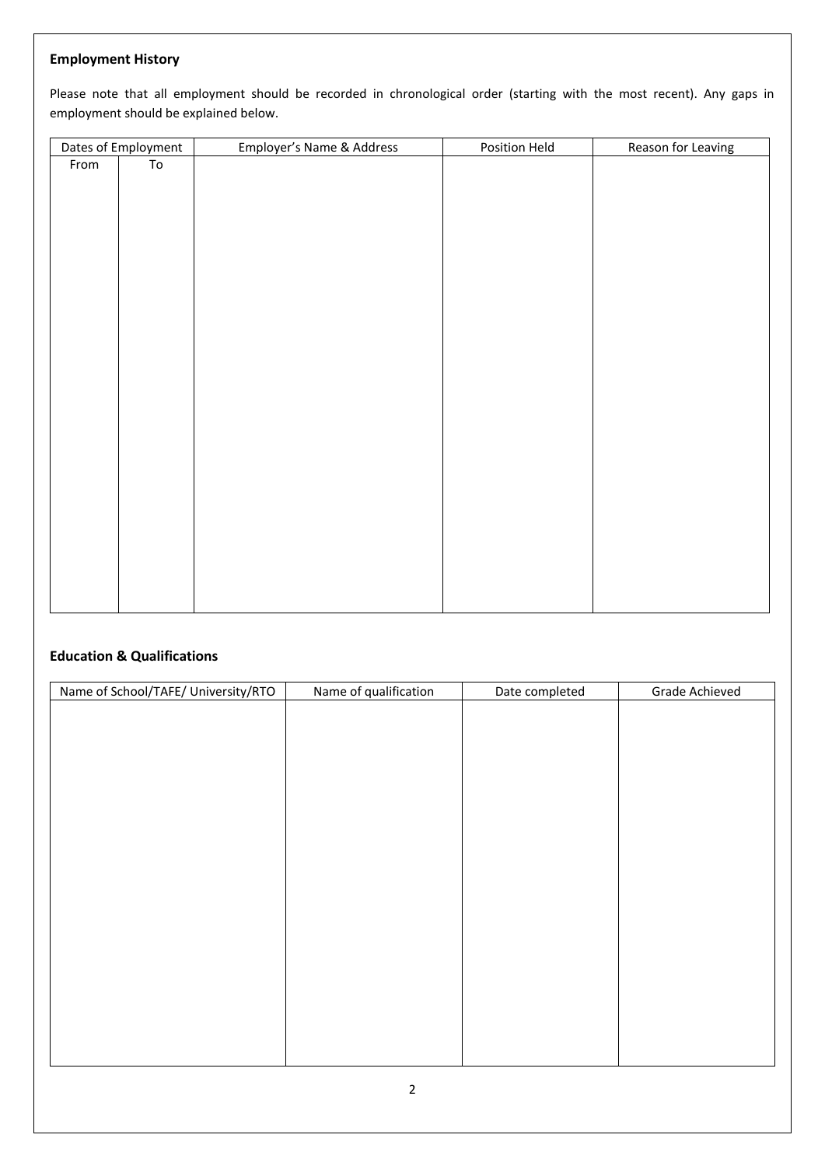## **Employment History**

Please note that all employment should be recorded in chronological order (starting with the most recent). Any gaps in employment should be explained below.

|      | Dates of Employment | Employer's Name & Address | Position Held | Reason for Leaving |
|------|---------------------|---------------------------|---------------|--------------------|
| From | To                  |                           |               |                    |
|      |                     |                           |               |                    |
|      |                     |                           |               |                    |
|      |                     |                           |               |                    |
|      |                     |                           |               |                    |
|      |                     |                           |               |                    |
|      |                     |                           |               |                    |
|      |                     |                           |               |                    |
|      |                     |                           |               |                    |
|      |                     |                           |               |                    |
|      |                     |                           |               |                    |
|      |                     |                           |               |                    |
|      |                     |                           |               |                    |
|      |                     |                           |               |                    |
|      |                     |                           |               |                    |
|      |                     |                           |               |                    |
|      |                     |                           |               |                    |
|      |                     |                           |               |                    |
|      |                     |                           |               |                    |
|      |                     |                           |               |                    |
|      |                     |                           |               |                    |
|      |                     |                           |               |                    |
|      |                     |                           |               |                    |
|      |                     |                           |               |                    |
|      |                     |                           |               |                    |

# **Education & Qualifications**

| Name of School/TAFE/ University/RTO | Name of qualification | Date completed | Grade Achieved |
|-------------------------------------|-----------------------|----------------|----------------|
|                                     |                       |                |                |
|                                     |                       |                |                |
|                                     |                       |                |                |
|                                     |                       |                |                |
|                                     |                       |                |                |
|                                     |                       |                |                |
|                                     |                       |                |                |
|                                     |                       |                |                |
|                                     |                       |                |                |
|                                     |                       |                |                |
|                                     |                       |                |                |
|                                     |                       |                |                |
|                                     |                       |                |                |
|                                     |                       |                |                |
|                                     |                       |                |                |
|                                     |                       |                |                |
|                                     |                       |                |                |
|                                     |                       |                |                |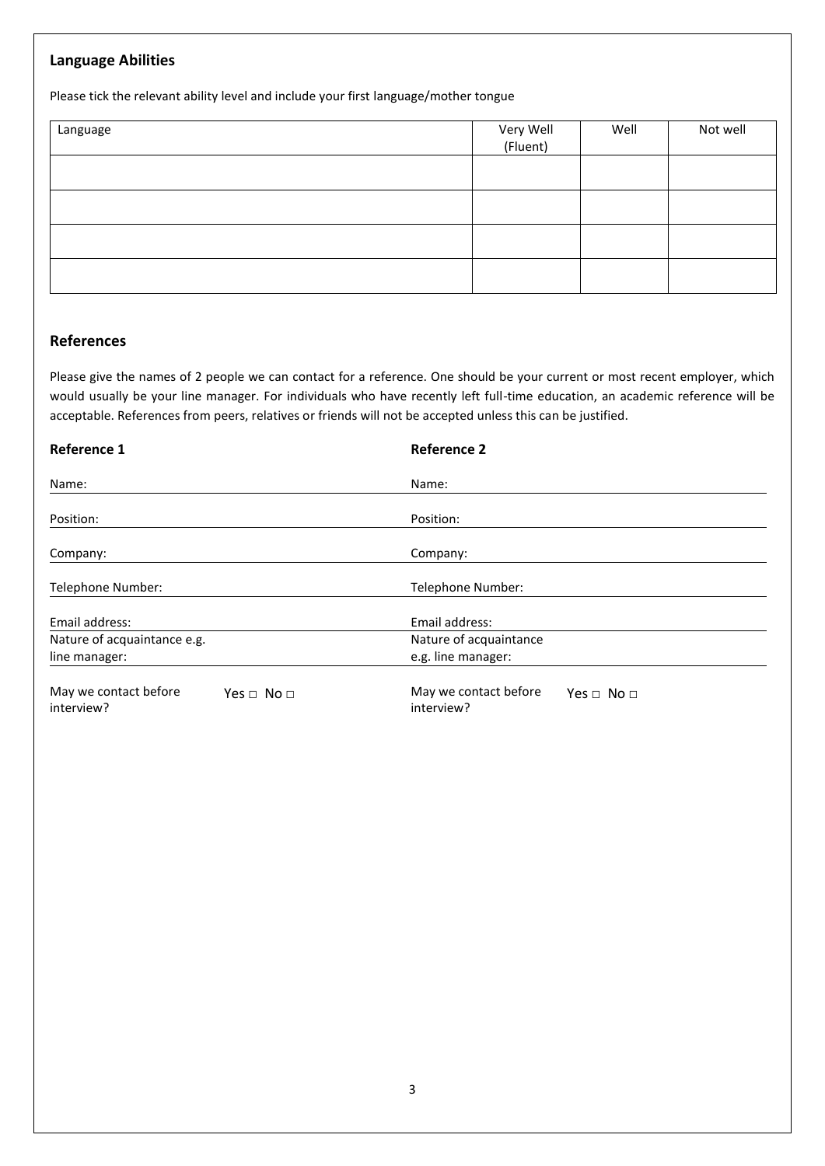### **Language Abilities**

Please tick the relevant ability level and include your first language/mother tongue

| Language | Very Well<br>(Fluent) | Well | Not well |
|----------|-----------------------|------|----------|
|          |                       |      |          |
|          |                       |      |          |
|          |                       |      |          |
|          |                       |      |          |

### **References**

Please give the names of 2 people we can contact for a reference. One should be your current or most recent employer, which would usually be your line manager. For individuals who have recently left full-time education, an academic reference will be acceptable. References from peers, relatives or friends will not be accepted unless this can be justified.

| <b>Reference 1</b>                  |                      | <b>Reference 2</b>                  |                          |
|-------------------------------------|----------------------|-------------------------------------|--------------------------|
| Name:                               |                      | Name:                               |                          |
| Position:                           |                      | Position:                           |                          |
| Company:                            |                      | Company:                            |                          |
| Telephone Number:                   |                      | Telephone Number:                   |                          |
| Email address:                      |                      | Email address:                      |                          |
| Nature of acquaintance e.g.         |                      | Nature of acquaintance              |                          |
| line manager:                       |                      | e.g. line manager:                  |                          |
| May we contact before<br>interview? | Yes $\Box$ No $\Box$ | May we contact before<br>interview? | Yes $\sqcap$ No $\sqcap$ |